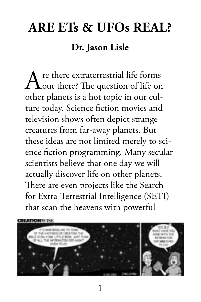# **Are ETs & UFOs Real? Dr. Jason Lisle**

Are there extraterrestrial life forms<br>
out there? The question of life on other planets is a hot topic in our culture today. Science fiction movies and television shows often depict strange creatures from far-away planets. But these ideas are not limited merely to science fiction programming. Many secular scientists believe that one day we will actually discover life on other planets. There are even projects like the Search for Extra-Terrestrial Intelligence (SETI) that scan the heavens with powerful

**HATIONWI** 



1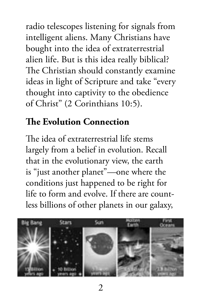radio telescopes listening for signals from intelligent aliens. Many Christians have bought into the idea of extraterrestrial alien life. But is this idea really biblical? The Christian should constantly examine ideas in light of Scripture and take "every thought into captivity to the obedience of Christ" (2 Corinthians 10:5).

#### **The Evolution Connection**

The idea of extraterrestrial life stems largely from a belief in evolution. Recall that in the evolutionary view, the earth is "just another planet"—one where the conditions just happened to be right for life to form and evolve. If there are countless billions of other planets in our galaxy,



 $\mathfrak{D}$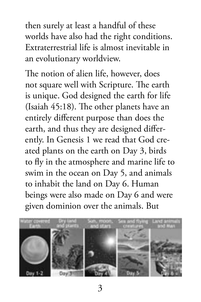then surely at least a handful of these worlds have also had the right conditions. Extraterrestrial life is almost inevitable in an evolutionary worldview.

The notion of alien life, however, does not square well with Scripture. The earth is unique. God designed the earth for life (Isaiah 45:18). The other planets have an entirely different purpose than does the earth, and thus they are designed differently. In Genesis 1 we read that God created plants on the earth on Day 3, birds to fly in the atmosphere and marine life to swim in the ocean on Day 5, and animals to inhabit the land on Day 6. Human beings were also made on Day 6 and were given dominion over the animals. But

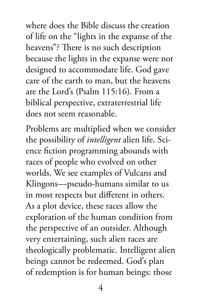where does the Bible discuss the creation of life on the "lights in the expanse of the heavens"? There is no such description because the lights in the expanse were not designed to accommodate life. God gave care of the earth to man, but the heavens are the Lord's (Psalm 115:16). From a biblical perspective, extraterrestrial life does not seem reasonable.

Problems are multiplied when we consider the possibility of *intelligent* alien life. Science fiction programming abounds with races of people who evolved on other worlds. We see examples of Vulcans and Klingons—pseudo-humans similar to us in most respects but different in others. As a plot device, these races allow the exploration of the human condition from the perspective of an outsider. Although very entertaining, such alien races are theologically problematic. Intelligent alien beings cannot be redeemed. God's plan of redemption is for human beings: those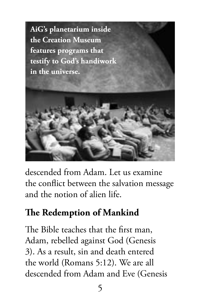

descended from Adam. Let us examine the conflict between the salvation message and the notion of alien life.

## **The Redemption of Mankind**

The Bible teaches that the first man, Adam, rebelled against God (Genesis 3). As a result, sin and death entered the world (Romans 5:12). We are all descended from Adam and Eve (Genesis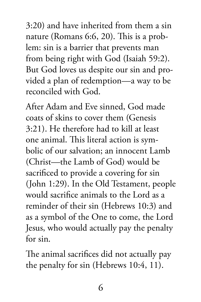3:20) and have inherited from them a sin nature (Romans 6:6, 20). This is a problem: sin is a barrier that prevents man from being right with God (Isaiah 59:2). But God loves us despite our sin and provided a plan of redemption—a way to be reconciled with God.

After Adam and Eve sinned, God made coats of skins to cover them (Genesis 3:21). He therefore had to kill at least one animal. This literal action is symbolic of our salvation; an innocent Lamb (Christ—the Lamb of God) would be sacrificed to provide a covering for sin (John 1:29). In the Old Testament, people would sacrifice animals to the Lord as a reminder of their sin (Hebrews 10:3) and as a symbol of the One to come, the Lord Jesus, who would actually pay the penalty for sin.

The animal sacrifices did not actually pay the penalty for sin (Hebrews 10:4, 11).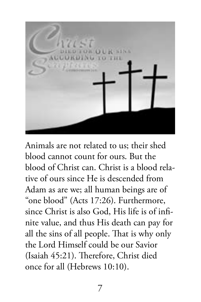

Animals are not related to us; their shed blood cannot count for ours. But the blood of Christ can. Christ is a blood relative of ours since He is descended from Adam as are we; all human beings are of "one blood" (Acts 17:26). Furthermore, since Christ is also God, His life is of infinite value, and thus His death can pay for all the sins of all people. That is why only the Lord Himself could be our Savior (Isaiah 45:21). Therefore, Christ died once for all (Hebrews 10:10).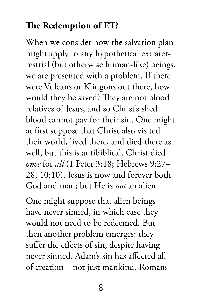### **The Redemption of ET?**

When we consider how the salvation plan might apply to any hypothetical extraterrestrial (but otherwise human-like) beings, we are presented with a problem. If there were Vulcans or Klingons out there, how would they be saved? They are not blood relatives of Jesus, and so Christ's shed blood cannot pay for their sin. One might at first suppose that Christ also visited their world, lived there, and died there as well, but this is antibiblical. Christ died *once* for *all* (1 Peter 3:18; Hebrews 9:27– 28, 10:10). Jesus is now and forever both God and man; but He is *not* an alien.

One might suppose that alien beings have never sinned, in which case they would not need to be redeemed. But then another problem emerges: they suffer the effects of sin, despite having never sinned. Adam's sin has affected all of creation—not just mankind. Romans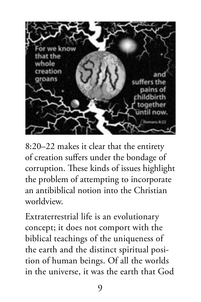

8:20–22 makes it clear that the entirety of creation suffers under the bondage of corruption. These kinds of issues highlight the problem of attempting to incorporate an antibiblical notion into the Christian worldview.

Extraterrestrial life is an evolutionary concept; it does not comport with the biblical teachings of the uniqueness of the earth and the distinct spiritual position of human beings. Of all the worlds in the universe, it was the earth that God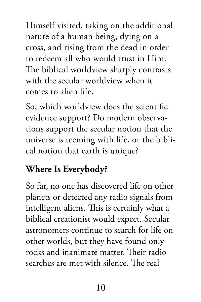Himself visited, taking on the additional nature of a human being, dying on a cross, and rising from the dead in order to redeem all who would trust in Him. The biblical worldview sharply contrasts with the secular worldview when it comes to alien life.

So, which worldview does the scientific evidence support? Do modern observations support the secular notion that the universe is teeming with life, or the biblical notion that earth is unique?

### **Where Is Everybody?**

So far, no one has discovered life on other planets or detected any radio signals from intelligent aliens. This is certainly what a biblical creationist would expect. Secular astronomers continue to search for life on other worlds, but they have found only rocks and inanimate matter. Their radio searches are met with silence. The real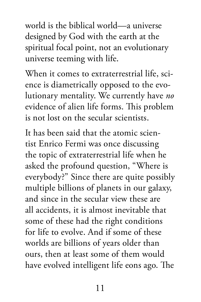world is the biblical world—a universe designed by God with the earth at the spiritual focal point, not an evolutionary universe teeming with life.

When it comes to extraterrestrial life, science is diametrically opposed to the evolutionary mentality. We currently have *no* evidence of alien life forms. This problem is not lost on the secular scientists.

It has been said that the atomic scientist Enrico Fermi was once discussing the topic of extraterrestrial life when he asked the profound question, "Where is everybody?" Since there are quite possibly multiple billions of planets in our galaxy, and since in the secular view these are all accidents, it is almost inevitable that some of these had the right conditions for life to evolve. And if some of these worlds are billions of years older than ours, then at least some of them would have evolved intelligent life eons ago. The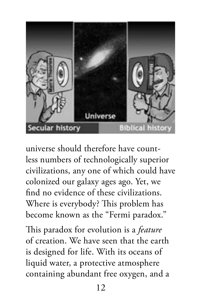

universe should therefore have countless numbers of technologically superior civilizations, any one of which could have colonized our galaxy ages ago. Yet, we find no evidence of these civilizations. Where is everybody? This problem has become known as the "Fermi paradox."

This paradox for evolution is a *feature* of creation. We have seen that the earth is designed for life. With its oceans of liquid water, a protective atmosphere containing abundant free oxygen, and a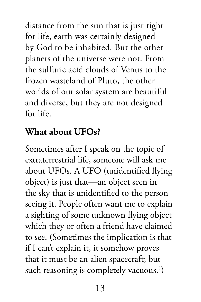distance from the sun that is just right for life, earth was certainly designed by God to be inhabited. But the other planets of the universe were not. From the sulfuric acid clouds of Venus to the frozen wasteland of Pluto, the other worlds of our solar system are beautiful and diverse, but they are not designed for life.

#### **What about UFOs?**

Sometimes after I speak on the topic of extraterrestrial life, someone will ask me about UFOs. A UFO (unidentified flying object) is just that—an object seen in the sky that is unidentified to the person seeing it. People often want me to explain a sighting of some unknown flying object which they or often a friend have claimed to see. (Sometimes the implication is that if I can't explain it, it somehow proves that it must be an alien spacecraft; but such reasoning is completely vacuous.<sup>1</sup>)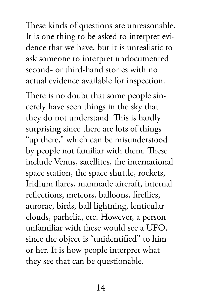These kinds of questions are unreasonable. It is one thing to be asked to interpret evidence that we have, but it is unrealistic to ask someone to interpret undocumented second- or third-hand stories with no actual evidence available for inspection.

There is no doubt that some people sincerely have seen things in the sky that they do not understand. This is hardly surprising since there are lots of things "up there," which can be misunderstood by people not familiar with them. These include Venus, satellites, the international space station, the space shuttle, rockets, Iridium flares, manmade aircraft, internal reflections, meteors, balloons, fireflies, aurorae, birds, ball lightning, lenticular clouds, parhelia, etc. However, a person unfamiliar with these would see a UFO, since the object is "unidentified" to him or her. It is how people interpret what they see that can be questionable.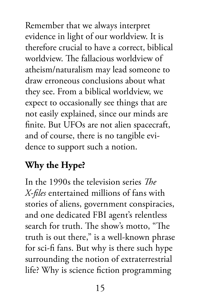Remember that we always interpret evidence in light of our worldview. It is therefore crucial to have a correct, biblical worldview. The fallacious worldview of atheism/naturalism may lead someone to draw erroneous conclusions about what they see. From a biblical worldview, we expect to occasionally see things that are not easily explained, since our minds are finite. But UFOs are not alien spacecraft, and of course, there is no tangible evidence to support such a notion.

## **Why the Hype?**

In the 1990s the television series *The X-files* entertained millions of fans with stories of aliens, government conspiracies, and one dedicated FBI agent's relentless search for truth. The show's motto, "The truth is out there," is a well-known phrase for sci-fi fans. But why is there such hype surrounding the notion of extraterrestrial life? Why is science fiction programming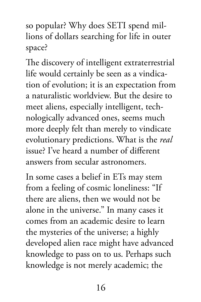so popular? Why does SETI spend millions of dollars searching for life in outer space?

The discovery of intelligent extraterrestrial life would certainly be seen as a vindication of evolution; it is an expectation from a naturalistic worldview. But the desire to meet aliens, especially intelligent, technologically advanced ones, seems much more deeply felt than merely to vindicate evolutionary predictions. What is the *real* issue? I've heard a number of different answers from secular astronomers.

In some cases a belief in ETs may stem from a feeling of cosmic loneliness: "If there are aliens, then we would not be alone in the universe." In many cases it comes from an academic desire to learn the mysteries of the universe; a highly developed alien race might have advanced knowledge to pass on to us. Perhaps such knowledge is not merely academic; the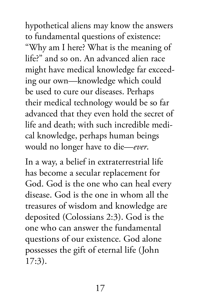hypothetical aliens may know the answers to fundamental questions of existence: "Why am I here? What is the meaning of life?" and so on. An advanced alien race might have medical knowledge far exceeding our own—knowledge which could be used to cure our diseases. Perhaps their medical technology would be so far advanced that they even hold the secret of life and death; with such incredible medical knowledge, perhaps human beings would no longer have to die—*ever*.

In a way, a belief in extraterrestrial life has become a secular replacement for God. God is the one who can heal every disease. God is the one in whom all the treasures of wisdom and knowledge are deposited (Colossians 2:3). God is the one who can answer the fundamental questions of our existence. God alone possesses the gift of eternal life (John 17:3).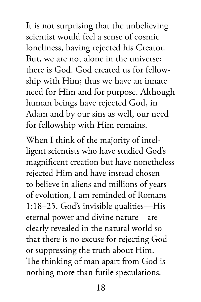It is not surprising that the unbelieving scientist would feel a sense of cosmic loneliness, having rejected his Creator. But, we are not alone in the universe; there is God. God created us for fellowship with Him; thus we have an innate need for Him and for purpose. Although human beings have rejected God, in Adam and by our sins as well, our need for fellowship with Him remains.

When I think of the majority of intelligent scientists who have studied God's magnificent creation but have nonetheless rejected Him and have instead chosen to believe in aliens and millions of years of evolution, I am reminded of Romans 1:18–25. God's invisible qualities—His eternal power and divine nature—are clearly revealed in the natural world so that there is no excuse for rejecting God or suppressing the truth about Him. The thinking of man apart from God is nothing more than futile speculations.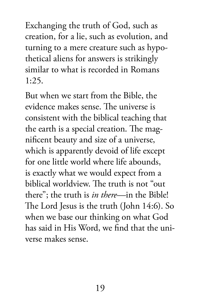Exchanging the truth of God, such as creation, for a lie, such as evolution, and turning to a mere creature such as hypothetical aliens for answers is strikingly similar to what is recorded in Romans 1:25.

But when we start from the Bible, the evidence makes sense. The universe is consistent with the biblical teaching that the earth is a special creation. The magnificent beauty and size of a universe, which is apparently devoid of life except for one little world where life abounds, is exactly what we would expect from a biblical worldview. The truth is not "out there"; the truth is *in there*—in the Bible! The Lord Jesus is the truth (John 14:6). So when we base our thinking on what God has said in His Word, we find that the universe makes sense.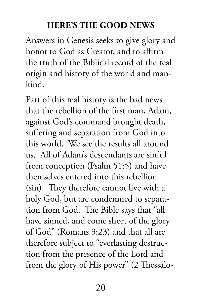#### **Here's the Good News**

Answers in Genesis seeks to give glory and honor to God as Creator, and to affirm the truth of the Biblical record of the real origin and history of the world and mankind.

Part of this real history is the bad news that the rebellion of the first man, Adam, against God's command brought death, suffering and separation from God into this world. We see the results all around us. All of Adam's descendants are sinful from conception (Psalm 51:5) and have themselves entered into this rebellion (sin). They therefore cannot live with a holy God, but are condemned to separation from God. The Bible says that "all have sinned, and come short of the glory of God" (Romans 3:23) and that all are therefore subject to "everlasting destruction from the presence of the Lord and from the glory of His power" (2 Thessalo-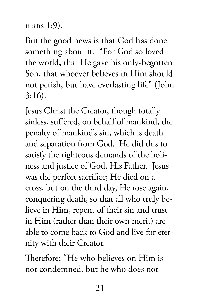```
nians 1:9).
```
But the good news is that God has done something about it. "For God so loved the world, that He gave his only-begotten Son, that whoever believes in Him should not perish, but have everlasting life" (John 3:16).

Jesus Christ the Creator, though totally sinless, suffered, on behalf of mankind, the penalty of mankind's sin, which is death and separation from God. He did this to satisfy the righteous demands of the holiness and justice of God, His Father. Jesus was the perfect sacrifice; He died on a cross, but on the third day, He rose again, conquering death, so that all who truly believe in Him, repent of their sin and trust in Him (rather than their own merit) are able to come back to God and live for eternity with their Creator.

Therefore: "He who believes on Him is not condemned, but he who does not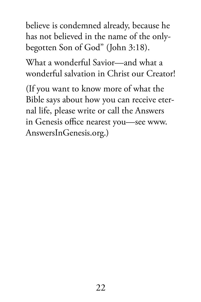believe is condemned already, because he has not believed in the name of the onlybegotten Son of God" (John 3:18).

What a wonderful Savior—and what a wonderful salvation in Christ our Creator!

(If you want to know more of what the Bible says about how you can receive eternal life, please write or call the Answers in Genesis office nearest you—see www. AnswersInGenesis.org.)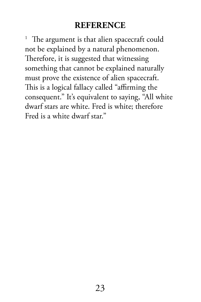#### **Reference**

<sup>1</sup> The argument is that alien spacecraft could not be explained by a natural phenomenon. Therefore, it is suggested that witnessing something that cannot be explained naturally must prove the existence of alien spacecraft. This is a logical fallacy called "affirming the consequent." It's equivalent to saying, "All white dwarf stars are white. Fred is white; therefore Fred is a white dwarf star."